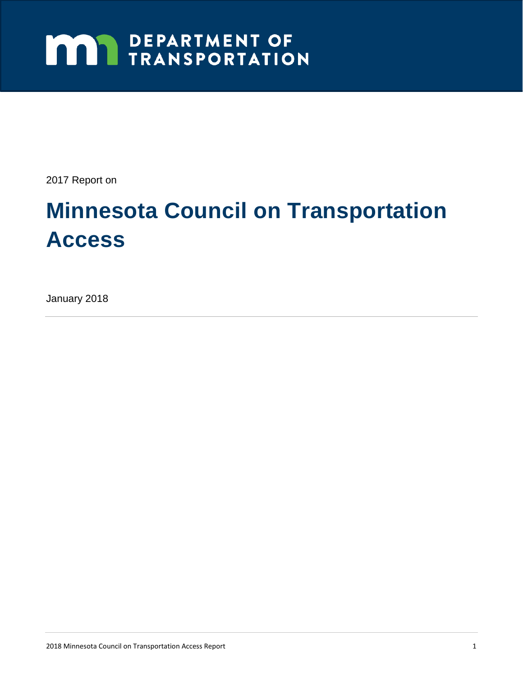# **MAY DEPARTMENT OF TRANSPORTATION**

2017 Report on

# **Minnesota Council on Transportation Access**

January 2018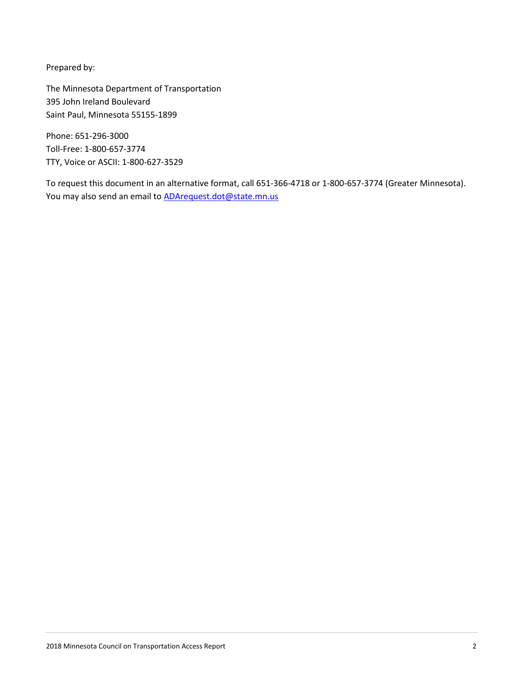Prepared by:

The Minnesota Department of Transportation 395 John Ireland Boulevard Saint Paul, Minnesota 55155-1899

Phone: 651-296-3000 Toll-Free: 1-800-657-3774 TTY, Voice or ASCII: 1-800-627-3529

To request this document in an alternative format, call 651-366-4718 or 1-800-657-3774 (Greater Minnesota). You may also send an email to **ADArequest.dot@state.mn.us**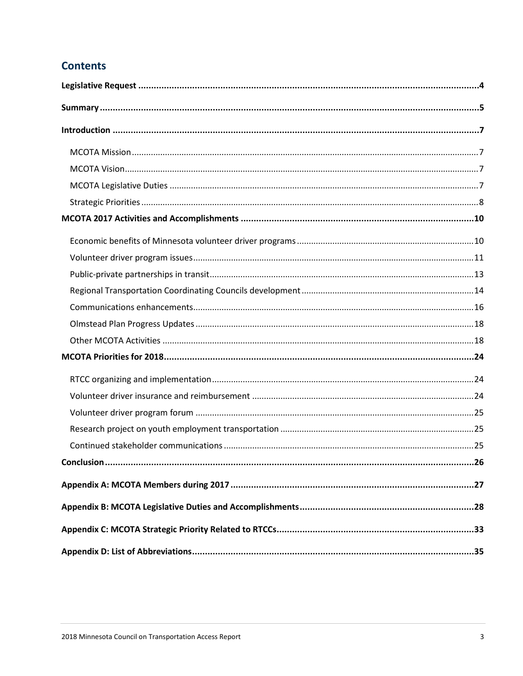## **Contents**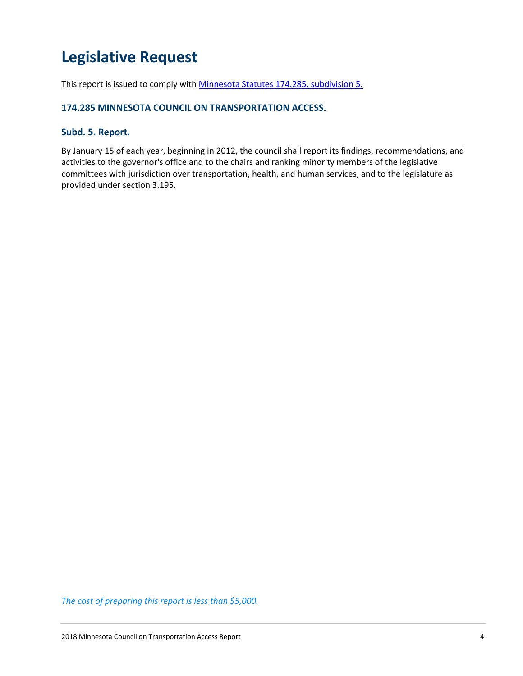# **Legislative Request**

This report is issued to comply wit[h Minnesota Statutes 174.285, subdivision 5.](https://www.revisor.mn.gov/statutes/?id=174.285)

#### **174.285 MINNESOTA COUNCIL ON TRANSPORTATION ACCESS.**

## **Subd. 5. Report.**

By January 15 of each year, beginning in 2012, the council shall report its findings, recommendations, and activities to the governor's office and to the chairs and ranking minority members of the legislative committees with jurisdiction over transportation, health, and human services, and to the legislature as provided under section 3.195.

*The cost of preparing this report is less than \$5,000.*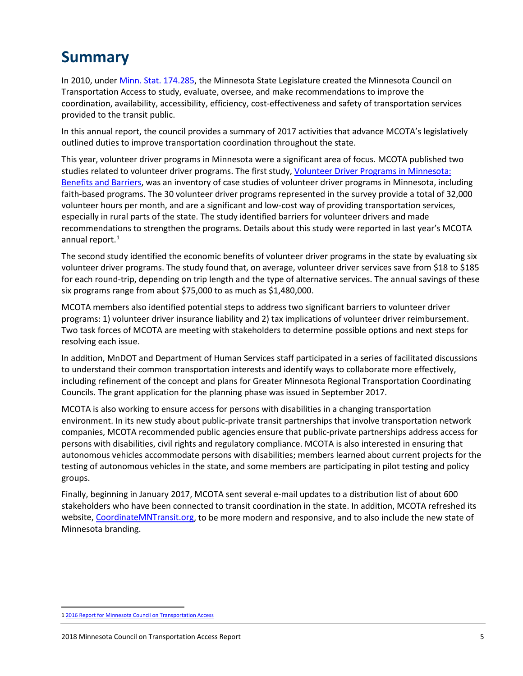# **Summary**

In 2010, unde[r Minn. Stat. 174.285,](https://www.revisor.mn.gov/statutes/?id=174.285) the Minnesota State Legislature created the Minnesota Council on Transportation Access to study, evaluate, oversee, and make recommendations to improve the coordination, availability, accessibility, efficiency, cost-effectiveness and safety of transportation services provided to the transit public.

In this annual report, the council provides a summary of 2017 activities that advance MCOTA's legislatively outlined duties to improve transportation coordination throughout the state.

This year, volunteer driver programs in Minnesota were a significant area of focus. MCOTA published two studies related to volunteer driver programs. The first study, Volunteer Driver Programs in Minnesota: [Benefits and Barriers,](http://www.cts.umn.edu/Publications/ResearchReports/pdfdownload.pl?id=2768) was an inventory of case studies of volunteer driver programs in Minnesota, including faith-based programs. The 30 volunteer driver programs represented in the survey provide a total of 32,000 volunteer hours per month, and are a significant and low-cost way of providing transportation services, especially in rural parts of the state. The study identified barriers for volunteer drivers and made recommendations to strengthen the programs. Details about this study were reported in last year's MCOTA annual report. [1](#page-4-0)

The second study identified the economic benefits of volunteer driver programs in the state by evaluating six volunteer driver programs. The study found that, on average, volunteer driver services save from \$18 to \$185 for each round-trip, depending on trip length and the type of alternative services. The annual savings of these six programs range from about \$75,000 to as much as \$1,480,000.

MCOTA members also identified potential steps to address two significant barriers to volunteer driver programs: 1) volunteer driver insurance liability and 2) tax implications of volunteer driver reimbursement. Two task forces of MCOTA are meeting with stakeholders to determine possible options and next steps for resolving each issue.

In addition, MnDOT and Department of Human Services staff participated in a series of facilitated discussions to understand their common transportation interests and identify ways to collaborate more effectively, including refinement of the concept and plans for Greater Minnesota Regional Transportation Coordinating Councils. The grant application for the planning phase was issued in September 2017.

MCOTA is also working to ensure access for persons with disabilities in a changing transportation environment. In its new study about public-private transit partnerships that involve transportation network companies, MCOTA recommended public agencies ensure that public-private partnerships address access for persons with disabilities, civil rights and regulatory compliance. MCOTA is also interested in ensuring that autonomous vehicles accommodate persons with disabilities; members learned about current projects for the testing of autonomous vehicles in the state, and some members are participating in pilot testing and policy groups.

Finally, beginning in January 2017, MCOTA sent several e-mail updates to a distribution list of about 600 stakeholders who have been connected to transit coordination in the state. In addition, MCOTA refreshed its website, [CoordinateMNTransit.org,](http://www.coordinatemntransit.org/) to be more modern and responsive, and to also include the new state of Minnesota branding.

<span id="page-4-0"></span> <sup>1</sup> [2016 Report for Minnesota Council on Transportation Access](http://www.dot.state.mn.us/govrel/reports/2017/mcota-report.pdf)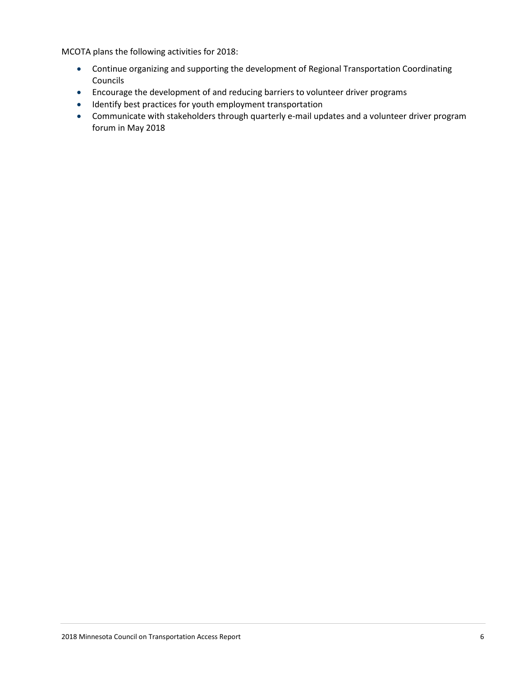MCOTA plans the following activities for 2018:

- Continue organizing and supporting the development of Regional Transportation Coordinating Councils
- Encourage the development of and reducing barriers to volunteer driver programs
- Identify best practices for youth employment transportation
- Communicate with stakeholders through quarterly e-mail updates and a volunteer driver program forum in May 2018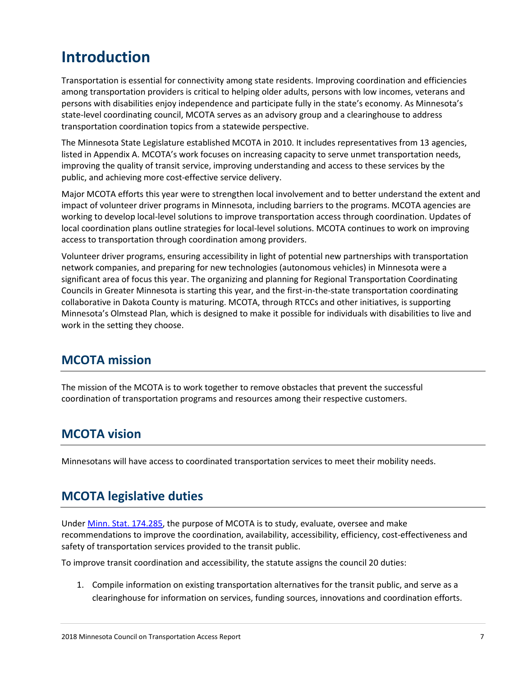# **Introduction**

Transportation is essential for connectivity among state residents. Improving coordination and efficiencies among transportation providers is critical to helping older adults, persons with low incomes, veterans and persons with disabilities enjoy independence and participate fully in the state's economy. As Minnesota's state-level coordinating council, MCOTA serves as an advisory group and a clearinghouse to address transportation coordination topics from a statewide perspective.

The Minnesota State Legislature established MCOTA in 2010. It includes representatives from 13 agencies, listed in Appendix A. MCOTA's work focuses on increasing capacity to serve unmet transportation needs, improving the quality of transit service, improving understanding and access to these services by the public, and achieving more cost-effective service delivery.

Major MCOTA efforts this year were to strengthen local involvement and to better understand the extent and impact of volunteer driver programs in Minnesota, including barriers to the programs. MCOTA agencies are working to develop local-level solutions to improve transportation access through coordination. Updates of local coordination plans outline strategies for local-level solutions. MCOTA continues to work on improving access to transportation through coordination among providers.

Volunteer driver programs, ensuring accessibility in light of potential new partnerships with transportation network companies, and preparing for new technologies (autonomous vehicles) in Minnesota were a significant area of focus this year. The organizing and planning for Regional Transportation Coordinating Councils in Greater Minnesota is starting this year, and the first-in-the-state transportation coordinating collaborative in Dakota County is maturing. MCOTA, through RTCCs and other initiatives, is supporting Minnesota's Olmstead Plan, which is designed to make it possible for individuals with disabilities to live and work in the setting they choose.

## **MCOTA mission**

The mission of the MCOTA is to work together to remove obstacles that prevent the successful coordination of transportation programs and resources among their respective customers.

# **MCOTA vision**

Minnesotans will have access to coordinated transportation services to meet their mobility needs.

# **MCOTA legislative duties**

Under [Minn. Stat. 174.285,](https://www.revisor.mn.gov/statutes/?id=174.285) the purpose of MCOTA is to study, evaluate, oversee and make recommendations to improve the coordination, availability, accessibility, efficiency, cost-effectiveness and safety of transportation services provided to the transit public.

To improve transit coordination and accessibility, the statute assigns the council 20 duties:

1. Compile information on existing transportation alternatives for the transit public, and serve as a clearinghouse for information on services, funding sources, innovations and coordination efforts.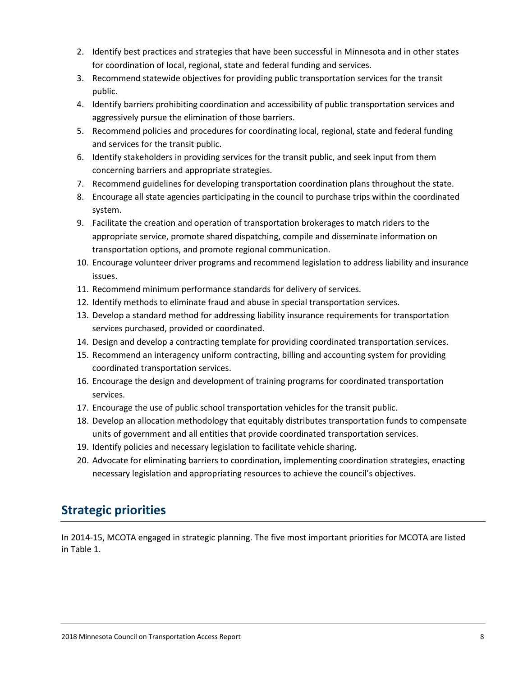- 2. Identify best practices and strategies that have been successful in Minnesota and in other states for coordination of local, regional, state and federal funding and services.
- 3. Recommend statewide objectives for providing public transportation services for the transit public.
- 4. Identify barriers prohibiting coordination and accessibility of public transportation services and aggressively pursue the elimination of those barriers.
- 5. Recommend policies and procedures for coordinating local, regional, state and federal funding and services for the transit public.
- 6. Identify stakeholders in providing services for the transit public, and seek input from them concerning barriers and appropriate strategies.
- 7. Recommend guidelines for developing transportation coordination plans throughout the state.
- 8. Encourage all state agencies participating in the council to purchase trips within the coordinated system.
- 9. Facilitate the creation and operation of transportation brokerages to match riders to the appropriate service, promote shared dispatching, compile and disseminate information on transportation options, and promote regional communication.
- 10. Encourage volunteer driver programs and recommend legislation to address liability and insurance issues.
- 11. Recommend minimum performance standards for delivery of services.
- 12. Identify methods to eliminate fraud and abuse in special transportation services.
- 13. Develop a standard method for addressing liability insurance requirements for transportation services purchased, provided or coordinated.
- 14. Design and develop a contracting template for providing coordinated transportation services.
- 15. Recommend an interagency uniform contracting, billing and accounting system for providing coordinated transportation services.
- 16. Encourage the design and development of training programs for coordinated transportation services.
- 17. Encourage the use of public school transportation vehicles for the transit public.
- 18. Develop an allocation methodology that equitably distributes transportation funds to compensate units of government and all entities that provide coordinated transportation services.
- 19. Identify policies and necessary legislation to facilitate vehicle sharing.
- 20. Advocate for eliminating barriers to coordination, implementing coordination strategies, enacting necessary legislation and appropriating resources to achieve the council's objectives.

# **Strategic priorities**

In 2014-15, MCOTA engaged in strategic planning. The five most important priorities for MCOTA are listed in Table 1.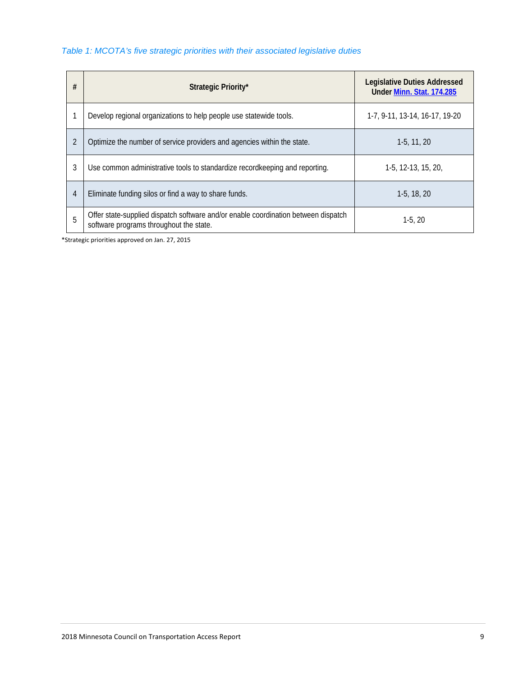### *Table 1: MCOTA's five strategic priorities with their associated legislative duties*

| # | Strategic Priority*                                                                                                           | <b>Legislative Duties Addressed</b><br>Under Minn. Stat. 174.285 |
|---|-------------------------------------------------------------------------------------------------------------------------------|------------------------------------------------------------------|
|   | Develop regional organizations to help people use statewide tools.                                                            | 1-7, 9-11, 13-14, 16-17, 19-20                                   |
| 2 | Optimize the number of service providers and agencies within the state.                                                       | $1-5, 11, 20$                                                    |
| 3 | Use common administrative tools to standardize record keeping and reporting.                                                  | $1-5, 12-13, 15, 20,$                                            |
| 4 | Eliminate funding silos or find a way to share funds.                                                                         | $1-5, 18, 20$                                                    |
| 5 | Offer state-supplied dispatch software and/or enable coordination between dispatch<br>software programs throughout the state. | $1-5.20$                                                         |

\*Strategic priorities approved on Jan. 27, 2015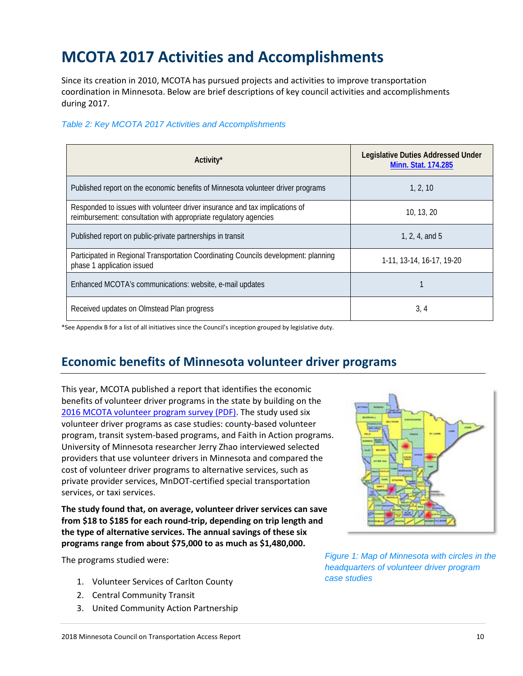# **MCOTA 2017 Activities and Accomplishments**

Since its creation in 2010, MCOTA has pursued projects and activities to improve transportation coordination in Minnesota. Below are brief descriptions of key council activities and accomplishments during 2017.

#### *Table 2: Key MCOTA 2017 Activities and Accomplishments*

| Activity <sup>*</sup>                                                                                                                           | <b>Legislative Duties Addressed Under</b><br>Minn. Stat. 174.285 |
|-------------------------------------------------------------------------------------------------------------------------------------------------|------------------------------------------------------------------|
| Published report on the economic benefits of Minnesota volunteer driver programs                                                                | 1, 2, 10                                                         |
| Responded to issues with volunteer driver insurance and tax implications of<br>reimbursement: consultation with appropriate regulatory agencies | 10, 13, 20                                                       |
| Published report on public-private partnerships in transit                                                                                      | 1, 2, 4, and $5$                                                 |
| Participated in Regional Transportation Coordinating Councils development: planning<br>phase 1 application issued                               | 1-11, 13-14, 16-17, 19-20                                        |
| Enhanced MCOTA's communications: website, e-mail updates                                                                                        |                                                                  |
| Received updates on Olmstead Plan progress                                                                                                      | 3, 4                                                             |

\*See Appendix B for a list of all initiatives since the Council's inception grouped by legislative duty.

# **Economic benefits of Minnesota volunteer driver programs**

This year, MCOTA published a report that identifies the economic benefits of volunteer driver programs in the state by building on the [2016 MCOTA volunteer program survey \(PDF\).](http://www.cts.umn.edu/Publications/ResearchReports/pdfdownload.pl?id=2768) The study used six volunteer driver programs as case studies: county-based volunteer program, transit system-based programs, and Faith in Action programs. University of Minnesota researcher Jerry Zhao interviewed selected providers that use volunteer drivers in Minnesota and compared the cost of volunteer driver programs to alternative services, such as private provider services, MnDOT-certified special transportation services, or taxi services.

**The study found that, on average, volunteer driver services can save from \$18 to \$185 for each round-trip, depending on trip length and the type of alternative services. The annual savings of these six programs range from about \$75,000 to as much as \$1,480,000.** 

The programs studied were:

- 1. Volunteer Services of Carlton County
- 2. Central Community Transit
- 3. United Community Action Partnership



*Figure 1: Map of Minnesota with circles in the headquarters of volunteer driver program case studies*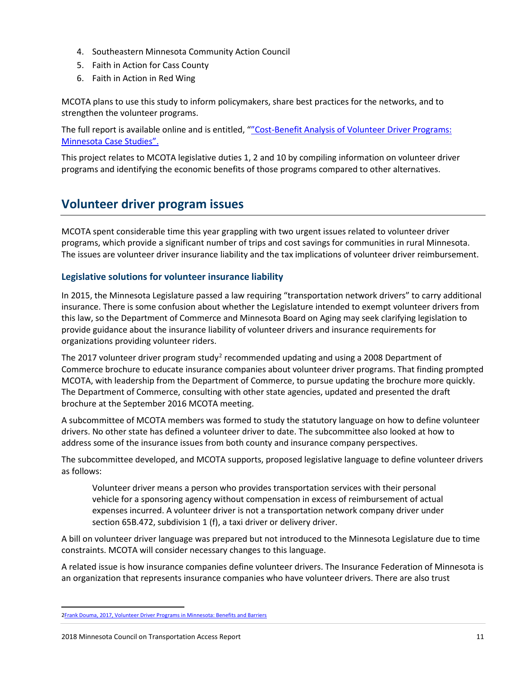- 4. Southeastern Minnesota Community Action Council
- 5. Faith in Action for Cass County
- 6. Faith in Action in Red Wing

MCOTA plans to use this study to inform policymakers, share best practices for the networks, and to strengthen the volunteer programs.

The full report is available online and is entitled, [""Cost-Benefit Analysis of Volunteer Driver Programs:](http://www.cts.umn.edu/Publications/ResearchReports/pdfdownload.pl?id=2824)  [Minnesota Case Studies"](http://www.cts.umn.edu/Publications/ResearchReports/pdfdownload.pl?id=2824).

This project relates to MCOTA legislative duties 1, 2 and 10 by compiling information on volunteer driver programs and identifying the economic benefits of those programs compared to other alternatives.

## **Volunteer driver program issues**

MCOTA spent considerable time this year grappling with two urgent issues related to volunteer driver programs, which provide a significant number of trips and cost savings for communities in rural Minnesota. The issues are volunteer driver insurance liability and the tax implications of volunteer driver reimbursement.

## **Legislative solutions for volunteer insurance liability**

In 2015, the Minnesota Legislature passed a law requiring "transportation network drivers" to carry additional insurance. There is some confusion about whether the Legislature intended to exempt volunteer drivers from this law, so the Department of Commerce and Minnesota Board on Aging may seek clarifying legislation to provide guidance about the insurance liability of volunteer drivers and insurance requirements for organizations providing volunteer riders.

The [2](#page-10-0)017 volunteer driver program study<sup>2</sup> recommended updating and using a 2008 Department of Commerce brochure to educate insurance companies about volunteer driver programs. That finding prompted MCOTA, with leadership from the Department of Commerce, to pursue updating the brochure more quickly. The Department of Commerce, consulting with other state agencies, updated and presented the draft brochure at the September 2016 MCOTA meeting.

A subcommittee of MCOTA members was formed to study the statutory language on how to define volunteer drivers. No other state has defined a volunteer driver to date. The subcommittee also looked at how to address some of the insurance issues from both county and insurance company perspectives.

The subcommittee developed, and MCOTA supports, proposed legislative language to define volunteer drivers as follows:

Volunteer driver means a person who provides transportation services with their personal vehicle for a sponsoring agency without compensation in excess of reimbursement of actual expenses incurred. A volunteer driver is not a transportation network company driver under section 65B.472, subdivision 1 (f), a taxi driver or delivery driver.

A bill on volunteer driver language was prepared but not introduced to the Minnesota Legislature due to time constraints. MCOTA will consider necessary changes to this language.

A related issue is how insurance companies define volunteer drivers. The Insurance Federation of Minnesota is an organization that represents insurance companies who have volunteer drivers. There are also trust

<span id="page-10-0"></span> <sup>2</sup>Frank Douma, 2017[, Volunteer Driver Programs in Minnesota: Benefits and Barriers](http://www.cts.umn.edu/Publications/ResearchReports/pdfdownload.pl?id=2768)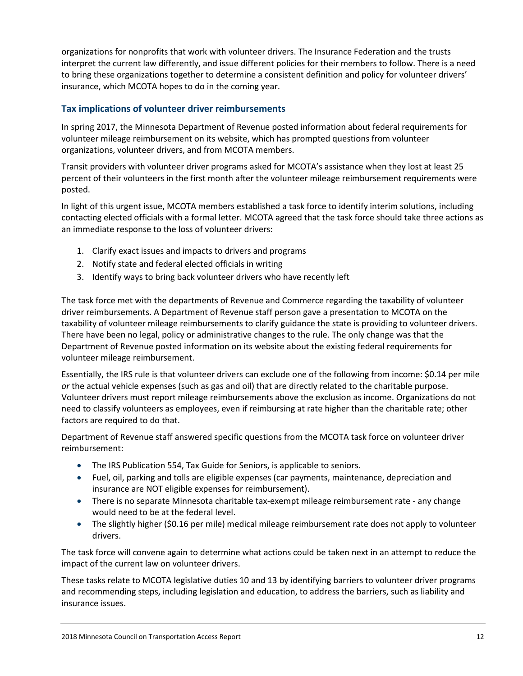organizations for nonprofits that work with volunteer drivers. The Insurance Federation and the trusts interpret the current law differently, and issue different policies for their members to follow. There is a need to bring these organizations together to determine a consistent definition and policy for volunteer drivers' insurance, which MCOTA hopes to do in the coming year.

## **Tax implications of volunteer driver reimbursements**

In spring 2017, the Minnesota Department of Revenue posted information about federal requirements for volunteer mileage reimbursement on its website, which has prompted questions from volunteer organizations, volunteer drivers, and from MCOTA members.

Transit providers with volunteer driver programs asked for MCOTA's assistance when they lost at least 25 percent of their volunteers in the first month after the volunteer mileage reimbursement requirements were posted.

In light of this urgent issue, MCOTA members established a task force to identify interim solutions, including contacting elected officials with a formal letter. MCOTA agreed that the task force should take three actions as an immediate response to the loss of volunteer drivers:

- 1. Clarify exact issues and impacts to drivers and programs
- 2. Notify state and federal elected officials in writing
- 3. Identify ways to bring back volunteer drivers who have recently left

The task force met with the departments of Revenue and Commerce regarding the taxability of volunteer driver reimbursements. A Department of Revenue staff person gave a presentation to MCOTA on the taxability of volunteer mileage reimbursements to clarify guidance the state is providing to volunteer drivers. There have been no legal, policy or administrative changes to the rule. The only change was that the Department of Revenue posted information on its website about the existing federal requirements for volunteer mileage reimbursement.

Essentially, the IRS rule is that volunteer drivers can exclude one of the following from income: \$0.14 per mile *or* the actual vehicle expenses (such as gas and oil) that are directly related to the charitable purpose. Volunteer drivers must report mileage reimbursements above the exclusion as income. Organizations do not need to classify volunteers as employees, even if reimbursing at rate higher than the charitable rate; other factors are required to do that.

Department of Revenue staff answered specific questions from the MCOTA task force on volunteer driver reimbursement:

- The IRS Publication 554, Tax Guide for Seniors, is applicable to seniors.
- Fuel, oil, parking and tolls are eligible expenses (car payments, maintenance, depreciation and insurance are NOT eligible expenses for reimbursement).
- There is no separate Minnesota charitable tax-exempt mileage reimbursement rate any change would need to be at the federal level.
- The slightly higher (\$0.16 per mile) medical mileage reimbursement rate does not apply to volunteer drivers.

The task force will convene again to determine what actions could be taken next in an attempt to reduce the impact of the current law on volunteer drivers.

These tasks relate to MCOTA legislative duties 10 and 13 by identifying barriers to volunteer driver programs and recommending steps, including legislation and education, to address the barriers, such as liability and insurance issues.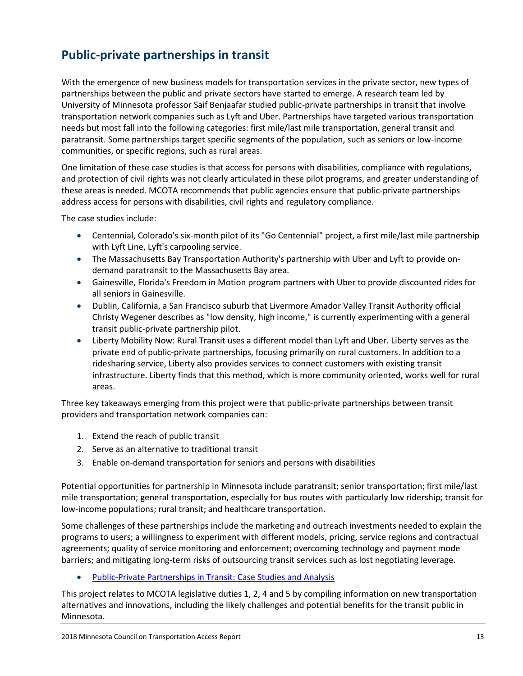# **Public-private partnerships in transit**

With the emergence of new business models for transportation services in the private sector, new types of partnerships between the public and private sectors have started to emerge. A research team led by University of Minnesota professor Saif Benjaafar studied public-private partnerships in transit that involve transportation network companies such as Lyft and Uber. Partnerships have targeted various transportation needs but most fall into the following categories: first mile/last mile transportation, general transit and paratransit. Some partnerships target specific segments of the population, such as seniors or low-income communities, or specific regions, such as rural areas.

One limitation of these case studies is that access for persons with disabilities, compliance with regulations, and protection of civil rights was not clearly articulated in these pilot programs, and greater understanding of these areas is needed. MCOTA recommends that public agencies ensure that public-private partnerships address access for persons with disabilities, civil rights and regulatory compliance.

The case studies include:

- Centennial, Colorado's six-month pilot of its "Go Centennial" project, a first mile/last mile partnership with Lyft Line, Lyft's carpooling service.
- The Massachusetts Bay Transportation Authority's partnership with Uber and Lyft to provide ondemand paratransit to the Massachusetts Bay area.
- Gainesville, Florida's Freedom in Motion program partners with Uber to provide discounted rides for all seniors in Gainesville.
- Dublin, California, a San Francisco suburb that Livermore Amador Valley Transit Authority official Christy Wegener describes as "low density, high income," is currently experimenting with a general transit public-private partnership pilot.
- Liberty Mobility Now: Rural Transit uses a different model than Lyft and Uber. Liberty serves as the private end of public-private partnerships, focusing primarily on rural customers. In addition to a ridesharing service, Liberty also provides services to connect customers with existing transit infrastructure. Liberty finds that this method, which is more community oriented, works well for rural areas.

Three key takeaways emerging from this project were that public-private partnerships between transit providers and transportation network companies can:

- 1. Extend the reach of public transit
- 2. Serve as an alternative to traditional transit
- 3. Enable on-demand transportation for seniors and persons with disabilities

Potential opportunities for partnership in Minnesota include paratransit; senior transportation; first mile/last mile transportation; general transportation, especially for bus routes with particularly low ridership; transit for low-income populations; rural transit; and healthcare transportation.

Some challenges of these partnerships include the marketing and outreach investments needed to explain the programs to users; a willingness to experiment with different models, pricing, service regions and contractual agreements; quality of service monitoring and enforcement; overcoming technology and payment mode barriers; and mitigating long-term risks of outsourcing transit services such as lost negotiating leverage.

• [Public-Private Partnerships in Transit: Case Studies and Analysis](http://www.coordinatemntransit.org/MCOTA/documents/MCOTA_P3s_2017.pdf)

This project relates to MCOTA legislative duties 1, 2, 4 and 5 by compiling information on new transportation alternatives and innovations, including the likely challenges and potential benefits for the transit public in Minnesota.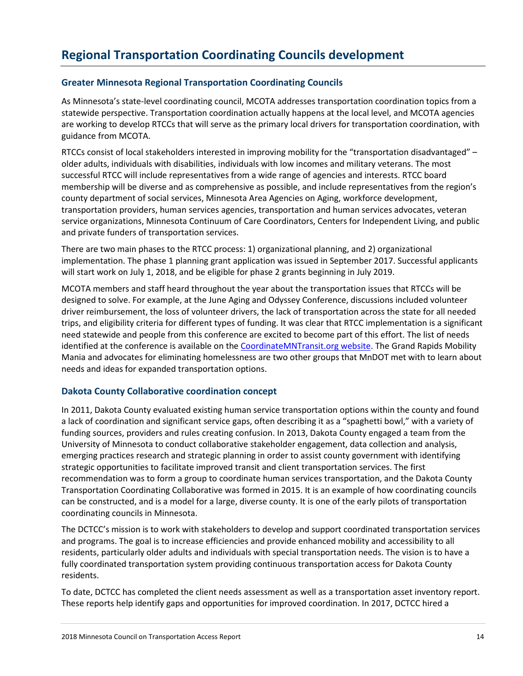## **Greater Minnesota Regional Transportation Coordinating Councils**

As Minnesota's state-level coordinating council, MCOTA addresses transportation coordination topics from a statewide perspective. Transportation coordination actually happens at the local level, and MCOTA agencies are working to develop RTCCs that will serve as the primary local drivers for transportation coordination, with guidance from MCOTA.

RTCCs consist of local stakeholders interested in improving mobility for the "transportation disadvantaged" – older adults, individuals with disabilities, individuals with low incomes and military veterans. The most successful RTCC will include representatives from a wide range of agencies and interests. RTCC board membership will be diverse and as comprehensive as possible, and include representatives from the region's county department of social services, Minnesota Area Agencies on Aging, workforce development, transportation providers, human services agencies, transportation and human services advocates, veteran service organizations, Minnesota Continuum of Care Coordinators, Centers for Independent Living, and public and private funders of transportation services.

There are two main phases to the RTCC process: 1) organizational planning, and 2) organizational implementation. The phase 1 planning grant application was issued in September 2017. Successful applicants will start work on July 1, 2018, and be eligible for phase 2 grants beginning in July 2019.

MCOTA members and staff heard throughout the year about the transportation issues that RTCCs will be designed to solve. For example, at the June Aging and Odyssey Conference, discussions included volunteer driver reimbursement, the loss of volunteer drivers, the lack of transportation across the state for all needed trips, and eligibility criteria for different types of funding. It was clear that RTCC implementation is a significant need statewide and people from this conference are excited to become part of this effort. The list of needs identified at the conference is available on the [CoordinateMNTransit.org website.](http://www.coordinatemntransit.org/MCOTA/meetings/documents/2017june/CommentsReceived2017AgingandDisabilitiesOdysseyConference.pdf) The Grand Rapids Mobility Mania and advocates for eliminating homelessness are two other groups that MnDOT met with to learn about needs and ideas for expanded transportation options.

## **Dakota County Collaborative coordination concept**

In 2011, Dakota County evaluated existing human service transportation options within the county and found a lack of coordination and significant service gaps, often describing it as a "spaghetti bowl," with a variety of funding sources, providers and rules creating confusion. In 2013, Dakota County engaged a team from the University of Minnesota to conduct collaborative stakeholder engagement, data collection and analysis, emerging practices research and strategic planning in order to assist county government with identifying strategic opportunities to facilitate improved transit and client transportation services. The first recommendation was to form a group to coordinate human services transportation, and the Dakota County Transportation Coordinating Collaborative was formed in 2015. It is an example of how coordinating councils can be constructed, and is a model for a large, diverse county. It is one of the early pilots of transportation coordinating councils in Minnesota.

The DCTCC's mission is to work with stakeholders to develop and support coordinated transportation services and programs. The goal is to increase efficiencies and provide enhanced mobility and accessibility to all residents, particularly older adults and individuals with special transportation needs. The vision is to have a fully coordinated transportation system providing continuous transportation access for Dakota County residents.

To date, DCTCC has completed the client needs assessment as well as a transportation asset inventory report. These reports help identify gaps and opportunities for improved coordination. In 2017, DCTCC hired a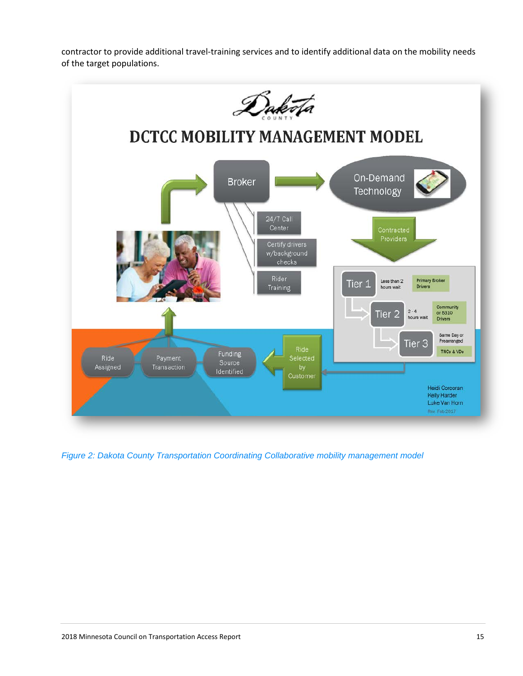contractor to provide additional travel-training services and to identify additional data on the mobility needs of the target populations.



*Figure 2: Dakota County Transportation Coordinating Collaborative mobility management model*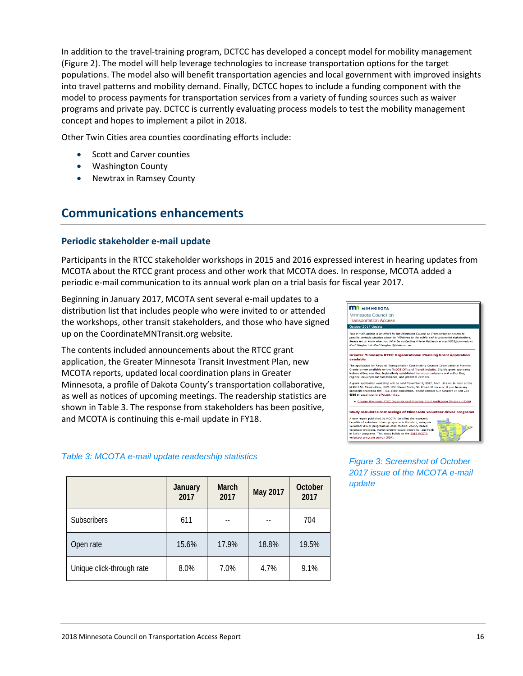In addition to the travel-training program, DCTCC has developed a concept model for mobility management (Figure 2). The model will help leverage technologies to increase transportation options for the target populations. The model also will benefit transportation agencies and local government with improved insights into travel patterns and mobility demand. Finally, DCTCC hopes to include a funding component with the model to process payments for transportation services from a variety of funding sources such as waiver programs and private pay. DCTCC is currently evaluating process models to test the mobility management concept and hopes to implement a pilot in 2018.

Other Twin Cities area counties coordinating efforts include:

- Scott and Carver counties
- Washington County
- Newtrax in Ramsey County

## **Communications enhancements**

#### **Periodic stakeholder e-mail update**

Participants in the RTCC stakeholder workshops in 2015 and 2016 expressed interest in hearing updates from MCOTA about the RTCC grant process and other work that MCOTA does. In response, MCOTA added a periodic e-mail communication to its annual work plan on a trial basis for fiscal year 2017.

Beginning in January 2017, MCOTA sent several e-mail updates to a distribution list that includes people who were invited to or attended the workshops, other transit stakeholders, and those who have signed up on the CoordinateMNTransit.org website.

The contents included announcements about the RTCC grant application, the Greater Minnesota Transit Investment Plan, new MCOTA reports, updated local coordination plans in Greater Minnesota, a profile of Dakota County's transportation collaborative, as well as notices of upcoming meetings. The readership statistics are shown in Table 3. The response from stakeholders has been positive, and MCOTA is continuing this e-mail update in FY18.

#### *Table 3: MCOTA e-mail update readership statistics*

|                           | January<br>2017 | March<br>2017 | May 2017 | October<br>2017 |
|---------------------------|-----------------|---------------|----------|-----------------|
| <b>Subscribers</b>        | 611             | --            |          | 704             |
| Open rate                 | 15.6%           | 17.9%         | 18.8%    | 19.5%           |
| Unique click-through rate | 8.0%            | 7.0%          | 4.7%     | 9.1%            |



*Figure 3: Screenshot of October 2017 issue of the MCOTA e-mail update*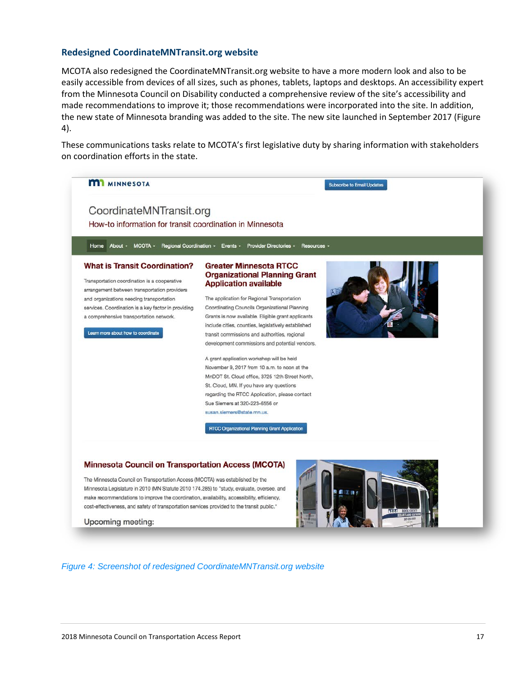#### **Redesigned CoordinateMNTransit.org website**

MCOTA also redesigned the CoordinateMNTransit.org website to have a more modern look and also to be easily accessible from devices of all sizes, such as phones, tablets, laptops and desktops. An accessibility expert from the Minnesota Council on Disability conducted a comprehensive review of the site's accessibility and made recommendations to improve it; those recommendations were incorporated into the site. In addition, the new state of Minnesota branding was added to the site. The new site launched in September 2017 (Figure 4).

These communications tasks relate to MCOTA's first legislative duty by sharing information with stakeholders on coordination efforts in the state.



#### *Figure 4: Screenshot of redesigned CoordinateMNTransit.org website*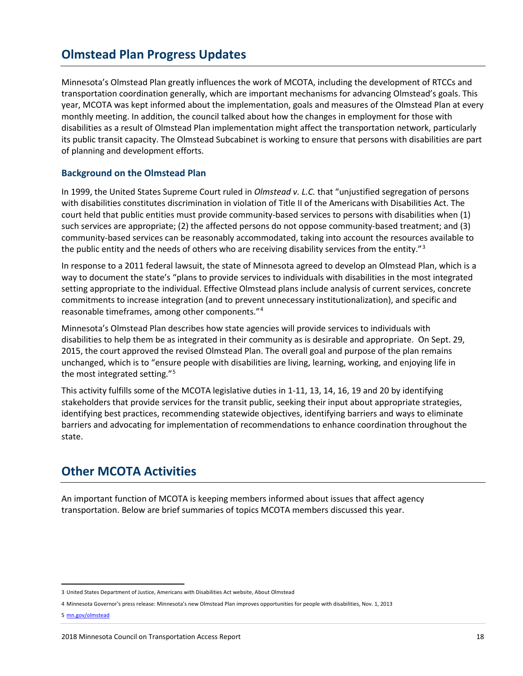## **Olmstead Plan Progress Updates**

Minnesota's Olmstead Plan greatly influences the work of MCOTA, including the development of RTCCs and transportation coordination generally, which are important mechanisms for advancing Olmstead's goals. This year, MCOTA was kept informed about the implementation, goals and measures of the Olmstead Plan at every monthly meeting. In addition, the council talked about how the changes in employment for those with disabilities as a result of Olmstead Plan implementation might affect the transportation network, particularly its public transit capacity. The Olmstead Subcabinet is working to ensure that persons with disabilities are part of planning and development efforts.

#### **Background on the Olmstead Plan**

In 1999, the United States Supreme Court ruled in *Olmstead v. L.C.* that "unjustified segregation of persons with disabilities constitutes discrimination in violation of Title II of the Americans with Disabilities Act. The court held that public entities must provide community-based services to persons with disabilities when (1) such services are appropriate; (2) the affected persons do not oppose community-based treatment; and (3) community-based services can be reasonably accommodated, taking into account the resources available to the public entity and the needs of others who are receiving disability services from the entity."<sup>[3](#page-17-0)</sup>

In response to a 2011 federal lawsuit, the state of Minnesota agreed to develop an Olmstead Plan, which is a way to document the state's "plans to provide services to individuals with disabilities in the most integrated setting appropriate to the individual. Effective Olmstead plans include analysis of current services, concrete commitments to increase integration (and to prevent unnecessary institutionalization), and specific and reasonable timeframes, among other components."[4](#page-17-1)

Minnesota's Olmstead Plan describes how state agencies will provide services to individuals with disabilities to help them be as integrated in their community as is desirable and appropriate. On Sept. 29, 2015, the court approved the revised Olmstead Plan. The overall goal and purpose of the plan remains unchanged, which is to "ensure people with disabilities are living, learning, working, and enjoying life in the most integrated setting."[5](#page-17-2)

This activity fulfills some of the MCOTA legislative duties in 1-11, 13, 14, 16, 19 and 20 by identifying stakeholders that provide services for the transit public, seeking their input about appropriate strategies, identifying best practices, recommending statewide objectives, identifying barriers and ways to eliminate barriers and advocating for implementation of recommendations to enhance coordination throughout the state.

## **Other MCOTA Activities**

An important function of MCOTA is keeping members informed about issues that affect agency transportation. Below are brief summaries of topics MCOTA members discussed this year.

<span id="page-17-0"></span> <sup>3</sup> United States Department of Justice, Americans with Disabilities Act website[, About Olmstead](http://www.ada.gov/olmstead/olmstead_about.htm)

<span id="page-17-1"></span><sup>4</sup> Minnesota Governor's press release[: Minnesota's new Olmstead Plan improves opportunities for people with disabilities,](http://mn.gov/governor/newsroom/?id=1055-100092) Nov. 1, 2013

<span id="page-17-2"></span><sup>5</sup> mn.gov/olmstead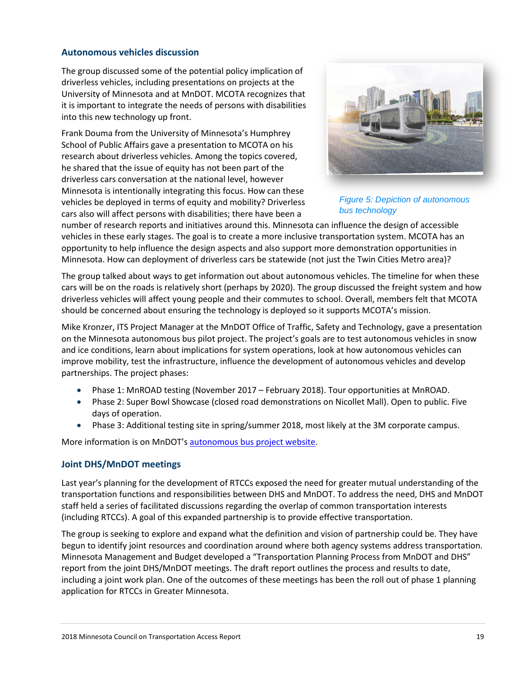#### **Autonomous vehicles discussion**

The group discussed some of the potential policy implication of driverless vehicles, including presentations on projects at the University of Minnesota and at MnDOT. MCOTA recognizes that it is important to integrate the needs of persons with disabilities into this new technology up front.

Frank Douma from the University of Minnesota's Humphrey School of Public Affairs gave a presentation to MCOTA on his research about driverless vehicles. Among the topics covered, he shared that the issue of equity has not been part of the driverless cars conversation at the national level, however Minnesota is intentionally integrating this focus. How can these vehicles be deployed in terms of equity and mobility? Driverless cars also will affect persons with disabilities; there have been a



*Figure 5: Depiction of autonomous bus technology*

number of research reports and initiatives around this. Minnesota can influence the design of accessible vehicles in these early stages. The goal is to create a more inclusive transportation system. MCOTA has an opportunity to help influence the design aspects and also support more demonstration opportunities in Minnesota. How can deployment of driverless cars be statewide (not just the Twin Cities Metro area)?

The group talked about ways to get information out about autonomous vehicles. The timeline for when these cars will be on the roads is relatively short (perhaps by 2020). The group discussed the freight system and how driverless vehicles will affect young people and their commutes to school. Overall, members felt that MCOTA should be concerned about ensuring the technology is deployed so it supports MCOTA's mission.

Mike Kronzer, ITS Project Manager at the MnDOT Office of Traffic, Safety and Technology, gave a presentation on the Minnesota autonomous bus pilot project. The project's goals are to test autonomous vehicles in snow and ice conditions, learn about implications for system operations, look at how autonomous vehicles can improve mobility, test the infrastructure, influence the development of autonomous vehicles and develop partnerships. The project phases:

- Phase 1: MnROAD testing (November 2017 February 2018). Tour opportunities at MnROAD.
- Phase 2: Super Bowl Showcase (closed road demonstrations on Nicollet Mall). Open to public. Five days of operation.
- Phase 3: Additional testing site in spring/summer 2018, most likely at the 3M corporate campus.

More information is on MnDOT's [autonomous bus project website.](http://www.dot.state.mn.us/autonomous/)

#### **Joint DHS/MnDOT meetings**

Last year's planning for the development of RTCCs exposed the need for greater mutual understanding of the transportation functions and responsibilities between DHS and MnDOT. To address the need, DHS and MnDOT staff held a series of facilitated discussions regarding the overlap of common transportation interests (including RTCCs). A goal of this expanded partnership is to provide effective transportation.

The group is seeking to explore and expand what the definition and vision of partnership could be. They have begun to identify joint resources and coordination around where both agency systems address transportation. Minnesota Management and Budget developed a "Transportation Planning Process from MnDOT and DHS" report from the joint DHS/MnDOT meetings. The draft report outlines the process and results to date, including a joint work plan. One of the outcomes of these meetings has been the roll out of phase 1 planning application for RTCCs in Greater Minnesota.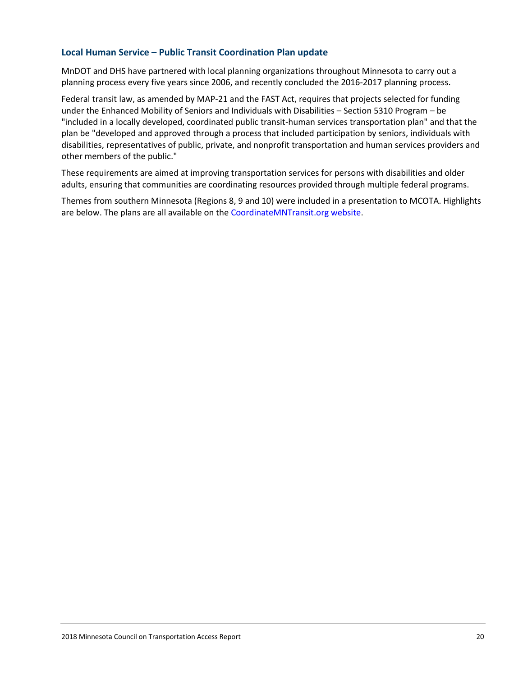#### **Local Human Service – Public Transit Coordination Plan update**

MnDOT and DHS have partnered with local planning organizations throughout Minnesota to carry out a planning process every five years since 2006, and recently concluded the 2016-2017 planning process.

Federal transit law, as amended by MAP-21 and the FAST Act, requires that projects selected for funding under the Enhanced Mobility of Seniors and Individuals with Disabilities – Section 5310 Program – be "included in a locally developed, coordinated public transit-human services transportation plan" and that the plan be "developed and approved through a process that included participation by seniors, individuals with disabilities, representatives of public, private, and nonprofit transportation and human services providers and other members of the public."

These requirements are aimed at improving transportation services for persons with disabilities and older adults, ensuring that communities are coordinating resources provided through multiple federal programs.

Themes from southern Minnesota (Regions 8, 9 and 10) were included in a presentation to MCOTA. Highlights are below. The plans are all available on the [CoordinateMNTransit.org website.](http://www.coordinatemntransit.org/regional/regionalplans/2017/index.html)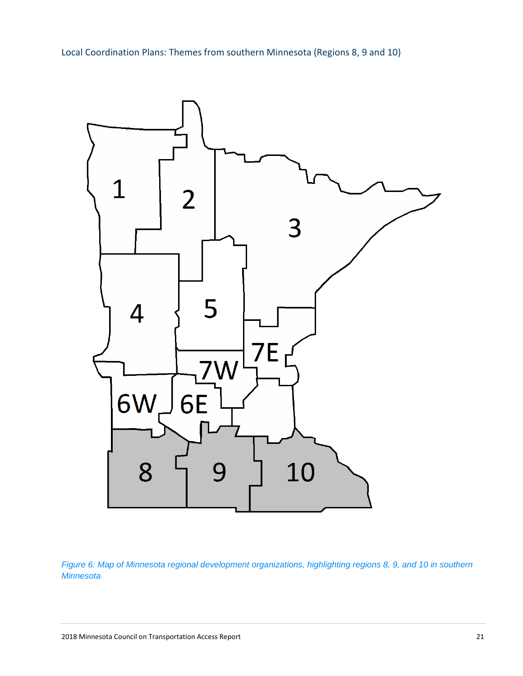Local Coordination Plans: Themes from southern Minnesota (Regions 8, 9 and 10)



*Figure 6: Map of Minnesota regional development organizations, highlighting regions 8, 9, and 10 in southern Minnesota*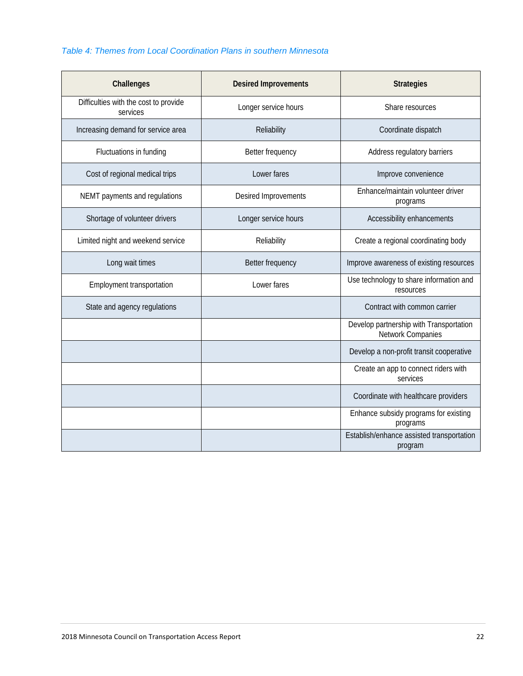## *Table 4: Themes from Local Coordination Plans in southern Minnesota*

| Challenges                                        | <b>Desired Improvements</b> | <b>Strategies</b>                                            |
|---------------------------------------------------|-----------------------------|--------------------------------------------------------------|
| Difficulties with the cost to provide<br>services | Longer service hours        | Share resources                                              |
| Increasing demand for service area                | Reliability                 | Coordinate dispatch                                          |
| Fluctuations in funding                           | Better frequency            | Address regulatory barriers                                  |
| Cost of regional medical trips                    | Lower fares                 | Improve convenience                                          |
| NEMT payments and regulations                     | Desired Improvements        | Enhance/maintain volunteer driver<br>programs                |
| Shortage of volunteer drivers                     | Longer service hours        | Accessibility enhancements                                   |
| Limited night and weekend service                 | Reliability                 | Create a regional coordinating body                          |
| Long wait times                                   | Better frequency            | Improve awareness of existing resources                      |
| Employment transportation                         | Lower fares                 | Use technology to share information and<br>resources         |
| State and agency regulations                      |                             | Contract with common carrier                                 |
|                                                   |                             | Develop partnership with Transportation<br>Network Companies |
|                                                   |                             | Develop a non-profit transit cooperative                     |
|                                                   |                             | Create an app to connect riders with<br>services             |
|                                                   |                             | Coordinate with healthcare providers                         |
|                                                   |                             | Enhance subsidy programs for existing<br>programs            |
|                                                   |                             | Establish/enhance assisted transportation<br>program         |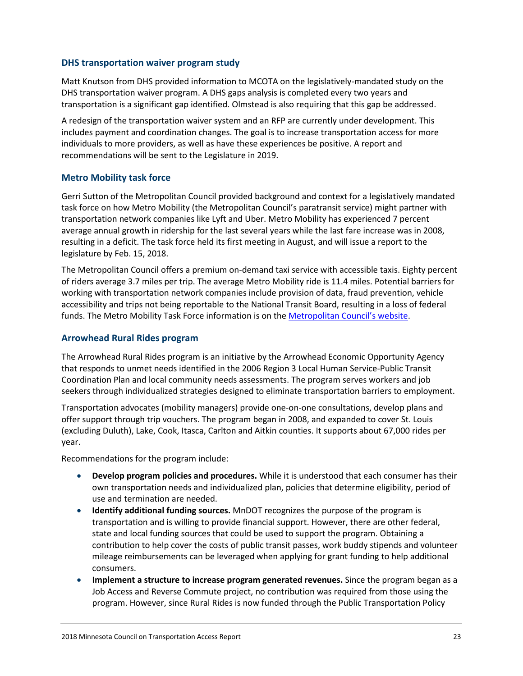#### **DHS transportation waiver program study**

Matt Knutson from DHS provided information to MCOTA on the legislatively-mandated study on the DHS transportation waiver program. A DHS gaps analysis is completed every two years and transportation is a significant gap identified. Olmstead is also requiring that this gap be addressed.

A redesign of the transportation waiver system and an RFP are currently under development. This includes payment and coordination changes. The goal is to increase transportation access for more individuals to more providers, as well as have these experiences be positive. A report and recommendations will be sent to the Legislature in 2019.

#### **Metro Mobility task force**

Gerri Sutton of the Metropolitan Council provided background and context for a legislatively mandated task force on how Metro Mobility (the Metropolitan Council's paratransit service) might partner with transportation network companies like Lyft and Uber. Metro Mobility has experienced 7 percent average annual growth in ridership for the last several years while the last fare increase was in 2008, resulting in a deficit. The task force held its first meeting in August, and will issue a report to the legislature by Feb. 15, 2018.

The Metropolitan Council offers a premium on-demand taxi service with accessible taxis. Eighty percent of riders average 3.7 miles per trip. The average Metro Mobility ride is 11.4 miles. Potential barriers for working with transportation network companies include provision of data, fraud prevention, vehicle accessibility and trips not being reportable to the National Transit Board, resulting in a loss of federal funds. The Metro Mobility Task Force information is on the [Metropolitan Council's website.](https://metrocouncil.org/Council-Meetings/Committees/Metro-Mobility-Task-Force.aspx?source=child)

#### **Arrowhead Rural Rides program**

The Arrowhead Rural Rides program is an initiative by the Arrowhead Economic Opportunity Agency that responds to unmet needs identified in the 2006 Region 3 Local Human Service-Public Transit Coordination Plan and local community needs assessments. The program serves workers and job seekers through individualized strategies designed to eliminate transportation barriers to employment.

Transportation advocates (mobility managers) provide one-on-one consultations, develop plans and offer support through trip vouchers. The program began in 2008, and expanded to cover St. Louis (excluding Duluth), Lake, Cook, Itasca, Carlton and Aitkin counties. It supports about 67,000 rides per year.

Recommendations for the program include:

- **Develop program policies and procedures.** While it is understood that each consumer has their own transportation needs and individualized plan, policies that determine eligibility, period of use and termination are needed.
- **Identify additional funding sources.** MnDOT recognizes the purpose of the program is transportation and is willing to provide financial support. However, there are other federal, state and local funding sources that could be used to support the program. Obtaining a contribution to help cover the costs of public transit passes, work buddy stipends and volunteer mileage reimbursements can be leveraged when applying for grant funding to help additional consumers.
- **Implement a structure to increase program generated revenues.** Since the program began as a Job Access and Reverse Commute project, no contribution was required from those using the program. However, since Rural Rides is now funded through the Public Transportation Policy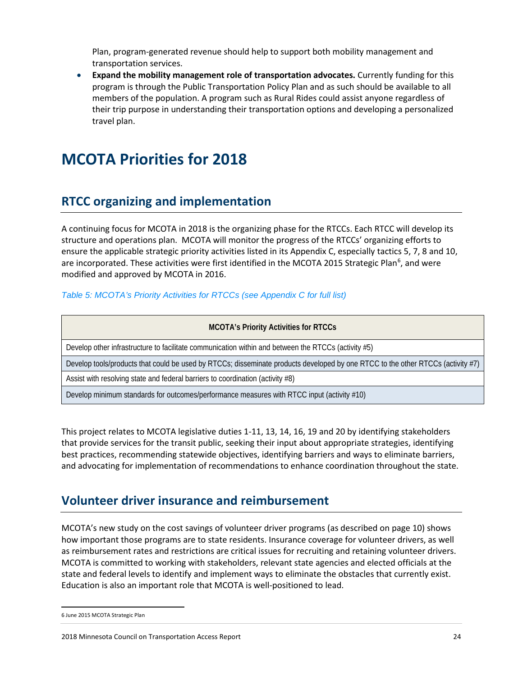Plan, program-generated revenue should help to support both mobility management and transportation services.

• **Expand the mobility management role of transportation advocates.** Currently funding for this program is through the Public Transportation Policy Plan and as such should be available to all members of the population. A program such as Rural Rides could assist anyone regardless of their trip purpose in understanding their transportation options and developing a personalized travel plan.

# **MCOTA Priorities for 2018**

# **RTCC organizing and implementation**

A continuing focus for MCOTA in 2018 is the organizing phase for the RTCCs. Each RTCC will develop its structure and operations plan. MCOTA will monitor the progress of the RTCCs' organizing efforts to ensure the applicable strategic priority activities listed in its Appendix C, especially tactics 5, 7, 8 and 10, are incorporated. These activities were first identified in the MCOTA 2015 Strategic Plan<sup>[6](#page-23-0)</sup>, and were modified and approved by MCOTA in 2016.

#### *Table 5: MCOTA's Priority Activities for RTCCs (see Appendix C for full list)*

| <b>MCOTA's Priority Activities for RTCCs</b>                                                                                    |
|---------------------------------------------------------------------------------------------------------------------------------|
| Develop other infrastructure to facilitate communication within and between the RTCCs (activity #5)                             |
| Develop tools/products that could be used by RTCCs; disseminate products developed by one RTCC to the other RTCCs (activity #7) |
| Assist with resolving state and federal barriers to coordination (activity #8)                                                  |
| Develop minimum standards for outcomes/performance measures with RTCC input (activity #10)                                      |

This project relates to MCOTA legislative duties 1-11, 13, 14, 16, 19 and 20 by identifying stakeholders that provide services for the transit public, seeking their input about appropriate strategies, identifying best practices, recommending statewide objectives, identifying barriers and ways to eliminate barriers, and advocating for implementation of recommendations to enhance coordination throughout the state.

# **Volunteer driver insurance and reimbursement**

MCOTA's new study on the cost savings of volunteer driver programs (as described on page 10) shows how important those programs are to state residents. Insurance coverage for volunteer drivers, as well as reimbursement rates and restrictions are critical issues for recruiting and retaining volunteer drivers. MCOTA is committed to working with stakeholders, relevant state agencies and elected officials at the state and federal levels to identify and implement ways to eliminate the obstacles that currently exist. Education is also an important role that MCOTA is well-positioned to lead.

<span id="page-23-0"></span> <sup>6</sup> [June 2015 MCOTA Strategic Plan](http://www.coordinatemntransit.org/MCOTA/documents/2015ActionPlan.pdf)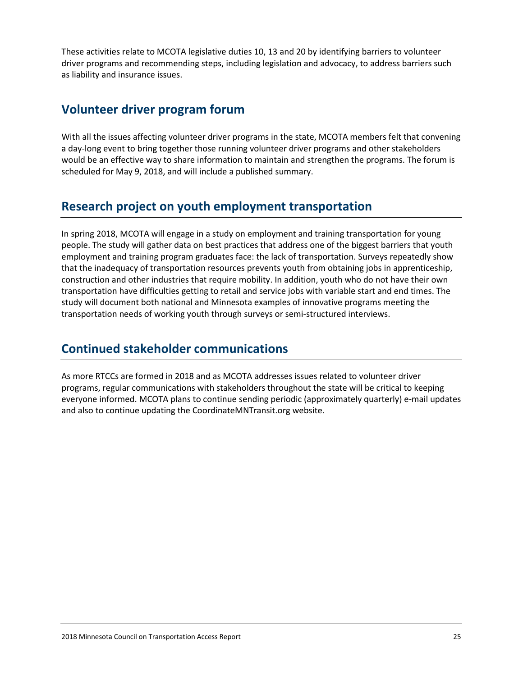These activities relate to MCOTA legislative duties 10, 13 and 20 by identifying barriers to volunteer driver programs and recommending steps, including legislation and advocacy, to address barriers such as liability and insurance issues.

## **Volunteer driver program forum**

With all the issues affecting volunteer driver programs in the state, MCOTA members felt that convening a day-long event to bring together those running volunteer driver programs and other stakeholders would be an effective way to share information to maintain and strengthen the programs. The forum is scheduled for May 9, 2018, and will include a published summary.

# **Research project on youth employment transportation**

In spring 2018, MCOTA will engage in a study on employment and training transportation for young people. The study will gather data on best practices that address one of the biggest barriers that youth employment and training program graduates face: the lack of transportation. Surveys repeatedly show that the inadequacy of transportation resources prevents youth from obtaining jobs in apprenticeship, construction and other industries that require mobility. In addition, youth who do not have their own transportation have difficulties getting to retail and service jobs with variable start and end times. The study will document both national and Minnesota examples of innovative programs meeting the transportation needs of working youth through surveys or semi-structured interviews.

# **Continued stakeholder communications**

As more RTCCs are formed in 2018 and as MCOTA addresses issues related to volunteer driver programs, regular communications with stakeholders throughout the state will be critical to keeping everyone informed. MCOTA plans to continue sending periodic (approximately quarterly) e-mail updates and also to continue updating the CoordinateMNTransit.org website.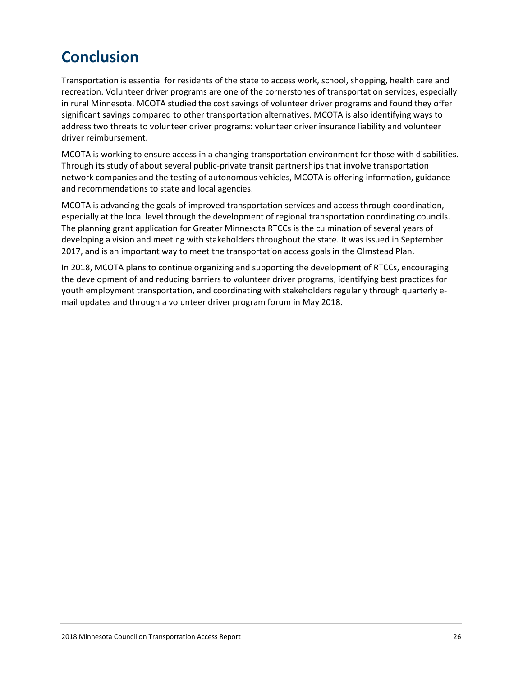# **Conclusion**

Transportation is essential for residents of the state to access work, school, shopping, health care and recreation. Volunteer driver programs are one of the cornerstones of transportation services, especially in rural Minnesota. MCOTA studied the cost savings of volunteer driver programs and found they offer significant savings compared to other transportation alternatives. MCOTA is also identifying ways to address two threats to volunteer driver programs: volunteer driver insurance liability and volunteer driver reimbursement.

MCOTA is working to ensure access in a changing transportation environment for those with disabilities. Through its study of about several public-private transit partnerships that involve transportation network companies and the testing of autonomous vehicles, MCOTA is offering information, guidance and recommendations to state and local agencies.

MCOTA is advancing the goals of improved transportation services and access through coordination, especially at the local level through the development of regional transportation coordinating councils. The planning grant application for Greater Minnesota RTCCs is the culmination of several years of developing a vision and meeting with stakeholders throughout the state. It was issued in September 2017, and is an important way to meet the transportation access goals in the Olmstead Plan.

In 2018, MCOTA plans to continue organizing and supporting the development of RTCCs, encouraging the development of and reducing barriers to volunteer driver programs, identifying best practices for youth employment transportation, and coordinating with stakeholders regularly through quarterly email updates and through a volunteer driver program forum in May 2018.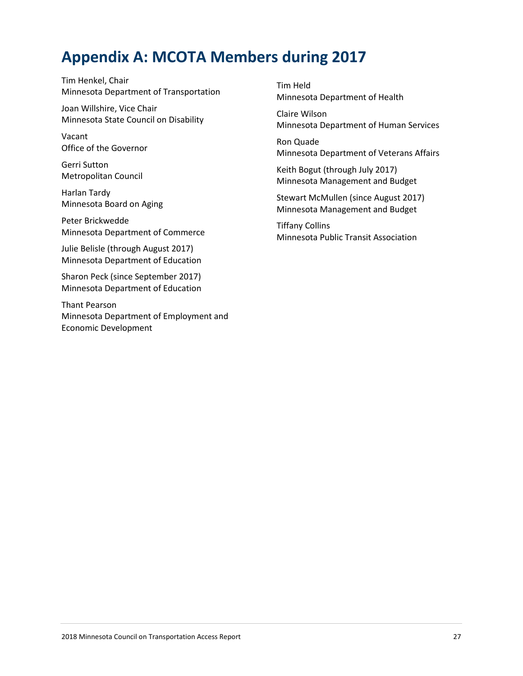# **Appendix A: MCOTA Members during 2017**

Tim Henkel, Chair Minnesota Department of Transportation

Joan Willshire, Vice Chair Minnesota State Council on Disability

Vacant Office of the Governor

Gerri Sutton Metropolitan Council

Harlan Tardy Minnesota Board on Aging

Peter Brickwedde Minnesota Department of Commerce

Julie Belisle (through August 2017) Minnesota Department of Education

Sharon Peck (since September 2017) Minnesota Department of Education

Thant Pearson Minnesota Department of Employment and Economic Development

Tim Held Minnesota Department of Health

Claire Wilson Minnesota Department of Human Services

Ron Quade Minnesota Department of Veterans Affairs

Keith Bogut (through July 2017) Minnesota Management and Budget

Stewart McMullen (since August 2017) Minnesota Management and Budget

Tiffany Collins Minnesota Public Transit Association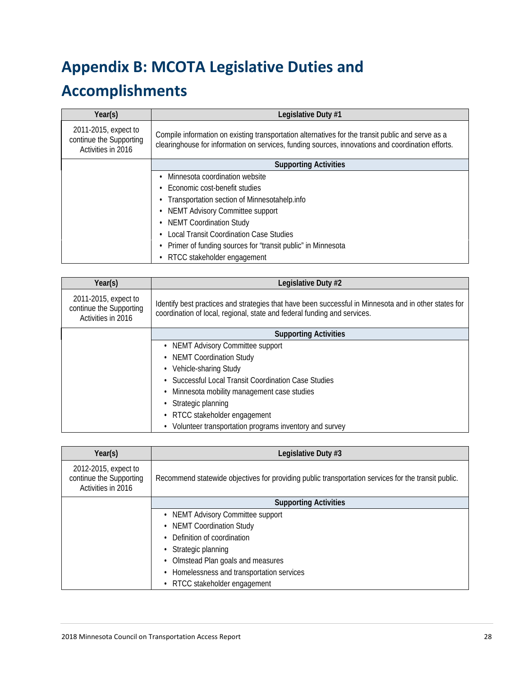# **Appendix B: MCOTA Legislative Duties and**

# **Accomplishments**

| Year(s)                                                               | Legislative Duty #1                                                                                                                                                                                    |  |
|-----------------------------------------------------------------------|--------------------------------------------------------------------------------------------------------------------------------------------------------------------------------------------------------|--|
| 2011-2015, expect to<br>continue the Supporting<br>Activities in 2016 | Compile information on existing transportation alternatives for the transit public and serve as a<br>clearinghouse for information on services, funding sources, innovations and coordination efforts. |  |
|                                                                       | <b>Supporting Activities</b>                                                                                                                                                                           |  |
|                                                                       | Minnesota coordination website                                                                                                                                                                         |  |
|                                                                       | Economic cost-benefit studies<br>٠                                                                                                                                                                     |  |
|                                                                       | Transportation section of Minnesotahelp.info<br>$\bullet$                                                                                                                                              |  |
|                                                                       | <b>NEMT Advisory Committee support</b>                                                                                                                                                                 |  |
|                                                                       | <b>NEMT Coordination Study</b>                                                                                                                                                                         |  |
|                                                                       | <b>Local Transit Coordination Case Studies</b>                                                                                                                                                         |  |
|                                                                       | Primer of funding sources for "transit public" in Minnesota                                                                                                                                            |  |
|                                                                       | RTCC stakeholder engagement                                                                                                                                                                            |  |

| Year(s)                                                               | Legislative Duty #2                                                                                                                                                               |  |
|-----------------------------------------------------------------------|-----------------------------------------------------------------------------------------------------------------------------------------------------------------------------------|--|
| 2011-2015, expect to<br>continue the Supporting<br>Activities in 2016 | Identify best practices and strategies that have been successful in Minnesota and in other states for<br>coordination of local, regional, state and federal funding and services. |  |
|                                                                       | <b>Supporting Activities</b>                                                                                                                                                      |  |
|                                                                       | NEMT Advisory Committee support                                                                                                                                                   |  |
|                                                                       | <b>NEMT Coordination Study</b>                                                                                                                                                    |  |
|                                                                       | Vehicle-sharing Study                                                                                                                                                             |  |
|                                                                       | Successful Local Transit Coordination Case Studies                                                                                                                                |  |
|                                                                       | Minnesota mobility management case studies                                                                                                                                        |  |
|                                                                       | Strategic planning                                                                                                                                                                |  |
|                                                                       | RTCC stakeholder engagement                                                                                                                                                       |  |
|                                                                       | Volunteer transportation programs inventory and survey                                                                                                                            |  |

| Year(s)                                                               | Legislative Duty #3                                                                                 |  |
|-----------------------------------------------------------------------|-----------------------------------------------------------------------------------------------------|--|
| 2012-2015, expect to<br>continue the Supporting<br>Activities in 2016 | Recommend statewide objectives for providing public transportation services for the transit public. |  |
|                                                                       | <b>Supporting Activities</b>                                                                        |  |
|                                                                       | • NEMT Advisory Committee support                                                                   |  |
|                                                                       | <b>NEMT Coordination Study</b>                                                                      |  |
|                                                                       | Definition of coordination                                                                          |  |
|                                                                       | Strategic planning                                                                                  |  |
|                                                                       | Olmstead Plan goals and measures                                                                    |  |
|                                                                       | Homelessness and transportation services                                                            |  |
|                                                                       | RTCC stakeholder engagement                                                                         |  |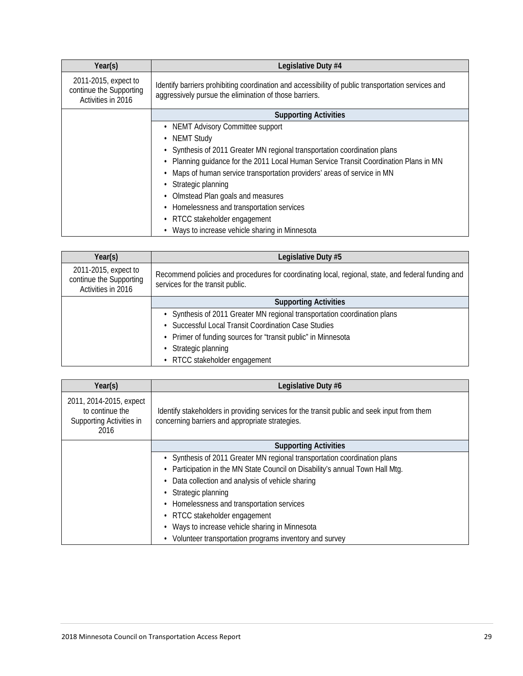| Year(s)                                                               | Legislative Duty #4                                                                                                                                          |  |
|-----------------------------------------------------------------------|--------------------------------------------------------------------------------------------------------------------------------------------------------------|--|
| 2011-2015, expect to<br>continue the Supporting<br>Activities in 2016 | Identify barriers prohibiting coordination and accessibility of public transportation services and<br>aggressively pursue the elimination of those barriers. |  |
|                                                                       | <b>Supporting Activities</b>                                                                                                                                 |  |
|                                                                       | • NEMT Advisory Committee support                                                                                                                            |  |
|                                                                       | <b>NEMT Study</b>                                                                                                                                            |  |
|                                                                       | Synthesis of 2011 Greater MN regional transportation coordination plans                                                                                      |  |
|                                                                       | Planning guidance for the 2011 Local Human Service Transit Coordination Plans in MN                                                                          |  |
|                                                                       | Maps of human service transportation providers' areas of service in MN                                                                                       |  |
|                                                                       | Strategic planning                                                                                                                                           |  |
|                                                                       | Olmstead Plan goals and measures                                                                                                                             |  |
|                                                                       | • Homelessness and transportation services                                                                                                                   |  |
|                                                                       | RTCC stakeholder engagement                                                                                                                                  |  |
|                                                                       | Ways to increase vehicle sharing in Minnesota                                                                                                                |  |

| Year(s)                                                               | Legislative Duty #5                                                                                                                    |  |
|-----------------------------------------------------------------------|----------------------------------------------------------------------------------------------------------------------------------------|--|
| 2011-2015, expect to<br>continue the Supporting<br>Activities in 2016 | Recommend policies and procedures for coordinating local, regional, state, and federal funding and<br>services for the transit public. |  |
|                                                                       | <b>Supporting Activities</b>                                                                                                           |  |
|                                                                       | • Synthesis of 2011 Greater MN regional transportation coordination plans                                                              |  |
|                                                                       | Successful Local Transit Coordination Case Studies                                                                                     |  |
|                                                                       | • Primer of funding sources for "transit public" in Minnesota                                                                          |  |
|                                                                       | Strategic planning                                                                                                                     |  |
|                                                                       | RTCC stakeholder engagement                                                                                                            |  |

| Year(s)                                                                        | Legislative Duty #6                                                                                                                            |
|--------------------------------------------------------------------------------|------------------------------------------------------------------------------------------------------------------------------------------------|
| 2011, 2014-2015, expect<br>to continue the<br>Supporting Activities in<br>2016 | Identify stakeholders in providing services for the transit public and seek input from them<br>concerning barriers and appropriate strategies. |
|                                                                                | <b>Supporting Activities</b>                                                                                                                   |
|                                                                                | • Synthesis of 2011 Greater MN regional transportation coordination plans                                                                      |
|                                                                                | Participation in the MN State Council on Disability's annual Town Hall Mtg.                                                                    |
|                                                                                | Data collection and analysis of vehicle sharing                                                                                                |
|                                                                                | Strategic planning                                                                                                                             |
|                                                                                | Homelessness and transportation services                                                                                                       |
|                                                                                | • RTCC stakeholder engagement                                                                                                                  |
|                                                                                | Ways to increase vehicle sharing in Minnesota                                                                                                  |
|                                                                                | Volunteer transportation programs inventory and survey                                                                                         |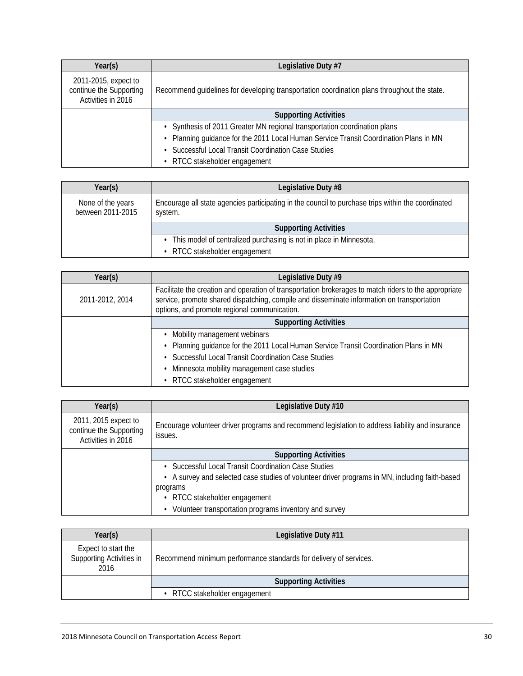| Year(s)                                                               | Legislative Duty #7                                                                         |
|-----------------------------------------------------------------------|---------------------------------------------------------------------------------------------|
| 2011-2015, expect to<br>continue the Supporting<br>Activities in 2016 | Recommend guidelines for developing transportation coordination plans throughout the state. |
|                                                                       | <b>Supporting Activities</b>                                                                |
|                                                                       | • Synthesis of 2011 Greater MN regional transportation coordination plans                   |
|                                                                       | • Planning guidance for the 2011 Local Human Service Transit Coordination Plans in MN       |
|                                                                       | Successful Local Transit Coordination Case Studies                                          |
|                                                                       | RTCC stakeholder engagement                                                                 |

| Year(s)                                | Legislative Duty #8                                                                                           |
|----------------------------------------|---------------------------------------------------------------------------------------------------------------|
| None of the years<br>between 2011-2015 | Encourage all state agencies participating in the council to purchase trips within the coordinated<br>system. |
|                                        | <b>Supporting Activities</b>                                                                                  |
|                                        | • This model of centralized purchasing is not in place in Minnesota.                                          |
|                                        | • RTCC stakeholder engagement                                                                                 |

| Year(s)         | Legislative Duty #9                                                                                                                                                                                                                                 |
|-----------------|-----------------------------------------------------------------------------------------------------------------------------------------------------------------------------------------------------------------------------------------------------|
| 2011-2012, 2014 | Facilitate the creation and operation of transportation brokerages to match riders to the appropriate<br>service, promote shared dispatching, compile and disseminate information on transportation<br>options, and promote regional communication. |
|                 | <b>Supporting Activities</b>                                                                                                                                                                                                                        |
|                 | Mobility management webinars                                                                                                                                                                                                                        |
|                 | • Planning guidance for the 2011 Local Human Service Transit Coordination Plans in MN                                                                                                                                                               |
|                 | Successful Local Transit Coordination Case Studies                                                                                                                                                                                                  |
|                 | Minnesota mobility management case studies                                                                                                                                                                                                          |
|                 | • RTCC stakeholder engagement                                                                                                                                                                                                                       |

| Year(s)                                                               | Legislative Duty #10                                                                                        |
|-----------------------------------------------------------------------|-------------------------------------------------------------------------------------------------------------|
| 2011, 2015 expect to<br>continue the Supporting<br>Activities in 2016 | Encourage volunteer driver programs and recommend legislation to address liability and insurance<br>issues. |
|                                                                       | <b>Supporting Activities</b>                                                                                |
|                                                                       | Successful Local Transit Coordination Case Studies                                                          |
|                                                                       | • A survey and selected case studies of volunteer driver programs in MN, including faith-based              |
|                                                                       | programs                                                                                                    |
|                                                                       | • RTCC stakeholder engagement                                                                               |
|                                                                       | Volunteer transportation programs inventory and survey                                                      |

| Year(s)                                                 | Legislative Duty #11                                              |
|---------------------------------------------------------|-------------------------------------------------------------------|
| Expect to start the<br>Supporting Activities in<br>2016 | Recommend minimum performance standards for delivery of services. |
|                                                         | <b>Supporting Activities</b>                                      |
|                                                         | RTCC stakeholder engagement                                       |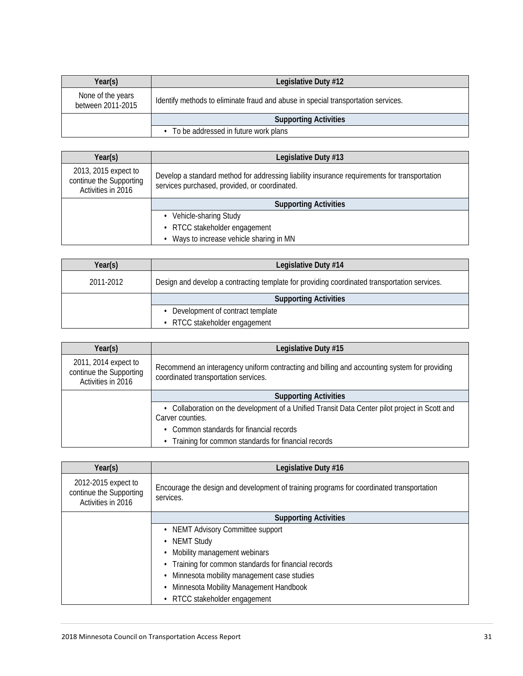| Year(s)                                | Legislative Duty #12                                                              |
|----------------------------------------|-----------------------------------------------------------------------------------|
| None of the years<br>between 2011-2015 | Identify methods to eliminate fraud and abuse in special transportation services. |
|                                        | <b>Supporting Activities</b>                                                      |
|                                        | • To be addressed in future work plans                                            |

| Year(s)                                                               | Legislative Duty #13                                                                                                                          |
|-----------------------------------------------------------------------|-----------------------------------------------------------------------------------------------------------------------------------------------|
| 2013, 2015 expect to<br>continue the Supporting<br>Activities in 2016 | Develop a standard method for addressing liability insurance requirements for transportation<br>services purchased, provided, or coordinated. |
|                                                                       | <b>Supporting Activities</b>                                                                                                                  |
|                                                                       | • Vehicle-sharing Study                                                                                                                       |
|                                                                       | • RTCC stakeholder engagement                                                                                                                 |
|                                                                       | Ways to increase vehicle sharing in MN                                                                                                        |

| Year(s)   | Legislative Duty #14                                                                         |
|-----------|----------------------------------------------------------------------------------------------|
| 2011-2012 | Design and develop a contracting template for providing coordinated transportation services. |
|           | <b>Supporting Activities</b>                                                                 |
|           | • Development of contract template                                                           |
|           | • RTCC stakeholder engagement                                                                |

| Year(s)                                                               | Legislative Duty #15                                                                                                                 |
|-----------------------------------------------------------------------|--------------------------------------------------------------------------------------------------------------------------------------|
| 2011, 2014 expect to<br>continue the Supporting<br>Activities in 2016 | Recommend an interagency uniform contracting and billing and accounting system for providing<br>coordinated transportation services. |
|                                                                       | <b>Supporting Activities</b>                                                                                                         |
|                                                                       | Collaboration on the development of a Unified Transit Data Center pilot project in Scott and<br>Carver counties.                     |
|                                                                       | Common standards for financial records                                                                                               |
|                                                                       | Training for common standards for financial records                                                                                  |

| Year(s)                                                              | Legislative Duty #16                                                                                  |
|----------------------------------------------------------------------|-------------------------------------------------------------------------------------------------------|
| 2012-2015 expect to<br>continue the Supporting<br>Activities in 2016 | Encourage the design and development of training programs for coordinated transportation<br>services. |
|                                                                      | <b>Supporting Activities</b>                                                                          |
|                                                                      | • NEMT Advisory Committee support                                                                     |
|                                                                      | • NEMT Study                                                                                          |
|                                                                      | Mobility management webinars                                                                          |
|                                                                      | Training for common standards for financial records                                                   |
|                                                                      | Minnesota mobility management case studies                                                            |
|                                                                      | Minnesota Mobility Management Handbook                                                                |
|                                                                      | RTCC stakeholder engagement                                                                           |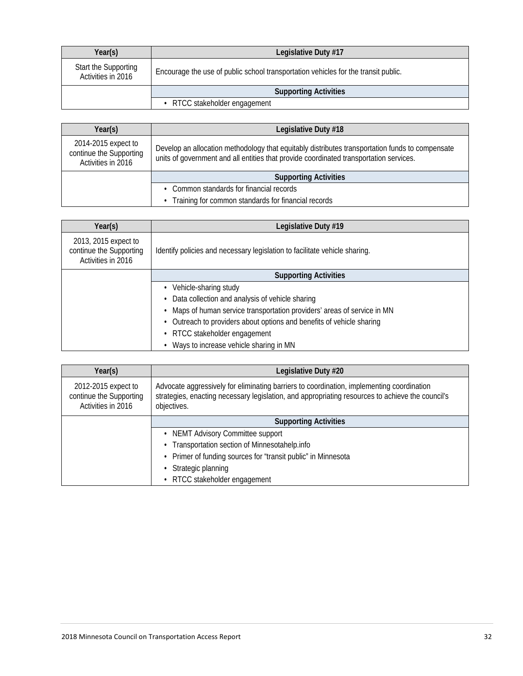| Year(s)                                    | Legislative Duty #17                                                               |
|--------------------------------------------|------------------------------------------------------------------------------------|
| Start the Supporting<br>Activities in 2016 | Encourage the use of public school transportation vehicles for the transit public. |
|                                            | <b>Supporting Activities</b>                                                       |
|                                            | • RTCC stakeholder engagement                                                      |

| Year(s)                                                              | Legislative Duty #18                                                                                                                                                                      |
|----------------------------------------------------------------------|-------------------------------------------------------------------------------------------------------------------------------------------------------------------------------------------|
| 2014-2015 expect to<br>continue the Supporting<br>Activities in 2016 | Develop an allocation methodology that equitably distributes transportation funds to compensate<br>units of government and all entities that provide coordinated transportation services. |
|                                                                      | <b>Supporting Activities</b>                                                                                                                                                              |
|                                                                      | • Common standards for financial records                                                                                                                                                  |
|                                                                      | Training for common standards for financial records                                                                                                                                       |

| Year(s)                                                               | Legislative Duty #19                                                       |  |
|-----------------------------------------------------------------------|----------------------------------------------------------------------------|--|
| 2013, 2015 expect to<br>continue the Supporting<br>Activities in 2016 | Identify policies and necessary legislation to facilitate vehicle sharing. |  |
|                                                                       | <b>Supporting Activities</b>                                               |  |
|                                                                       | Vehicle-sharing study                                                      |  |
|                                                                       | Data collection and analysis of vehicle sharing                            |  |
|                                                                       | Maps of human service transportation providers' areas of service in MN     |  |
|                                                                       | Outreach to providers about options and benefits of vehicle sharing        |  |
|                                                                       | • RTCC stakeholder engagement                                              |  |
|                                                                       | Ways to increase vehicle sharing in MN                                     |  |

| Year(s)                                                              | Legislative Duty #20                                                                                                                                                                                         |  |
|----------------------------------------------------------------------|--------------------------------------------------------------------------------------------------------------------------------------------------------------------------------------------------------------|--|
| 2012-2015 expect to<br>continue the Supporting<br>Activities in 2016 | Advocate aggressively for eliminating barriers to coordination, implementing coordination<br>strategies, enacting necessary legislation, and appropriating resources to achieve the council's<br>objectives. |  |
|                                                                      | <b>Supporting Activities</b>                                                                                                                                                                                 |  |
|                                                                      | <b>NEMT Advisory Committee support</b>                                                                                                                                                                       |  |
|                                                                      | Transportation section of Minnesotahelp.info                                                                                                                                                                 |  |
|                                                                      | • Primer of funding sources for "transit public" in Minnesota                                                                                                                                                |  |
|                                                                      | Strategic planning                                                                                                                                                                                           |  |
|                                                                      | RTCC stakeholder engagement                                                                                                                                                                                  |  |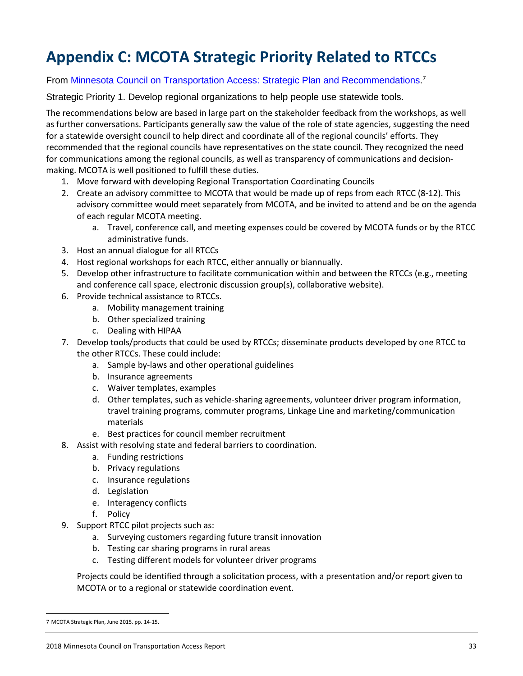# **Appendix C: MCOTA Strategic Priority Related to RTCCs**

## From **Minnesota Council on Transportation Access: Strategic Plan and Recommendations.<sup>[7](#page-32-0)</sup>**

Strategic Priority 1. Develop regional organizations to help people use statewide tools.

The recommendations below are based in large part on the stakeholder feedback from the workshops, as well as further conversations. Participants generally saw the value of the role of state agencies, suggesting the need for a statewide oversight council to help direct and coordinate all of the regional councils' efforts. They recommended that the regional councils have representatives on the state council. They recognized the need for communications among the regional councils, as well as transparency of communications and decisionmaking. MCOTA is well positioned to fulfill these duties.

- 1. Move forward with developing Regional Transportation Coordinating Councils
- 2. Create an advisory committee to MCOTA that would be made up of reps from each RTCC (8-12). This advisory committee would meet separately from MCOTA, and be invited to attend and be on the agenda of each regular MCOTA meeting.
	- a. Travel, conference call, and meeting expenses could be covered by MCOTA funds or by the RTCC administrative funds.
- 3. Host an annual dialogue for all RTCCs
- 4. Host regional workshops for each RTCC, either annually or biannually.
- 5. Develop other infrastructure to facilitate communication within and between the RTCCs (e.g., meeting and conference call space, electronic discussion group(s), collaborative website).
- 6. Provide technical assistance to RTCCs.
	- a. Mobility management training
	- b. Other specialized training
	- c. Dealing with HIPAA
- 7. Develop tools/products that could be used by RTCCs; disseminate products developed by one RTCC to the other RTCCs. These could include:
	- a. Sample by-laws and other operational guidelines
	- b. Insurance agreements
	- c. Waiver templates, examples
	- d. Other templates, such as vehicle-sharing agreements, volunteer driver program information, travel training programs, commuter programs, Linkage Line and marketing/communication materials
	- e. Best practices for council member recruitment
- 8. Assist with resolving state and federal barriers to coordination.
	- a. Funding restrictions
	- b. Privacy regulations
	- c. Insurance regulations
	- d. Legislation
	- e. Interagency conflicts
	- f. Policy
- 9. Support RTCC pilot projects such as:
	- a. Surveying customers regarding future transit innovation
	- b. Testing car sharing programs in rural areas
	- c. Testing different models for volunteer driver programs

Projects could be identified through a solicitation process, with a presentation and/or report given to MCOTA or to a regional or statewide coordination event.

<span id="page-32-0"></span> <sup>7</sup> [MCOTA Strategic Plan, June 2015. pp. 14-15.](http://www.coordinatemntransit.org/MCOTA/documents/2015ActionPlan.pdf)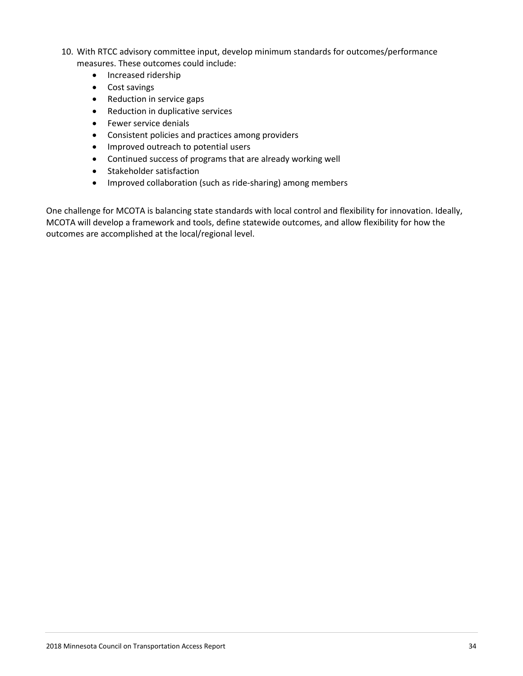- 10. With RTCC advisory committee input, develop minimum standards for outcomes/performance measures. These outcomes could include:
	- Increased ridership
	- Cost savings
	- Reduction in service gaps
	- Reduction in duplicative services
	- Fewer service denials
	- Consistent policies and practices among providers
	- Improved outreach to potential users
	- Continued success of programs that are already working well
	- Stakeholder satisfaction
	- Improved collaboration (such as ride-sharing) among members

One challenge for MCOTA is balancing state standards with local control and flexibility for innovation. Ideally, MCOTA will develop a framework and tools, define statewide outcomes, and allow flexibility for how the outcomes are accomplished at the local/regional level.